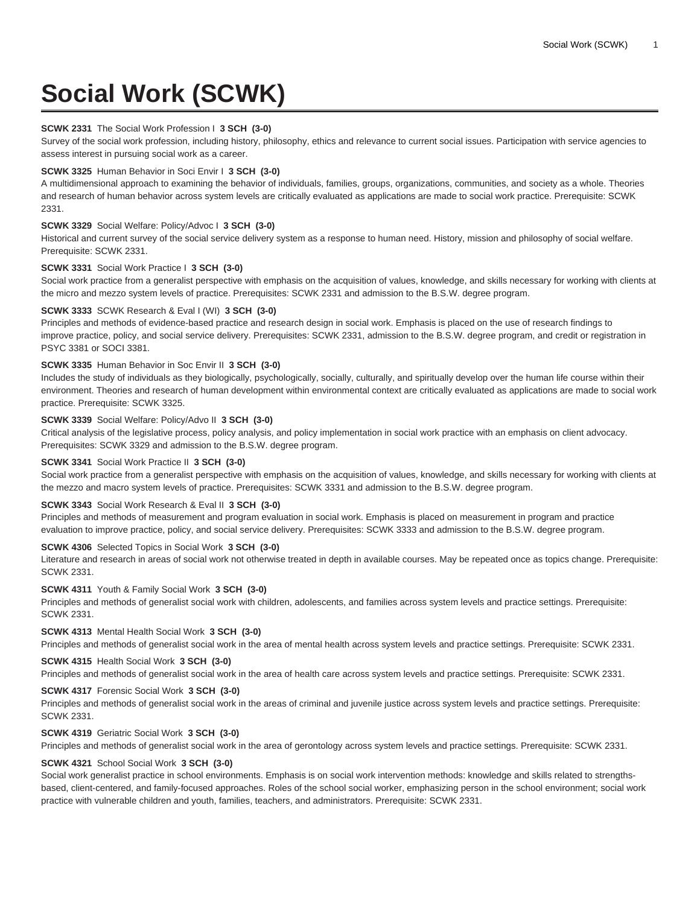# **Social Work (SCWK)**

# **SCWK 2331** The Social Work Profession I **3 SCH (3-0)**

Survey of the social work profession, including history, philosophy, ethics and relevance to current social issues. Participation with service agencies to assess interest in pursuing social work as a career.

# **SCWK 3325** Human Behavior in Soci Envir I **3 SCH (3-0)**

A multidimensional approach to examining the behavior of individuals, families, groups, organizations, communities, and society as a whole. Theories and research of human behavior across system levels are critically evaluated as applications are made to social work practice. Prerequisite: SCWK 2331.

# **SCWK 3329** Social Welfare: Policy/Advoc I **3 SCH (3-0)**

Historical and current survey of the social service delivery system as a response to human need. History, mission and philosophy of social welfare. Prerequisite: SCWK 2331.

## **SCWK 3331** Social Work Practice I **3 SCH (3-0)**

Social work practice from a generalist perspective with emphasis on the acquisition of values, knowledge, and skills necessary for working with clients at the micro and mezzo system levels of practice. Prerequisites: SCWK 2331 and admission to the B.S.W. degree program.

## **SCWK 3333** SCWK Research & Eval I (WI) **3 SCH (3-0)**

Principles and methods of evidence-based practice and research design in social work. Emphasis is placed on the use of research findings to improve practice, policy, and social service delivery. Prerequisites: SCWK 2331, admission to the B.S.W. degree program, and credit or registration in PSYC 3381 or SOCI 3381.

# **SCWK 3335** Human Behavior in Soc Envir II **3 SCH (3-0)**

Includes the study of individuals as they biologically, psychologically, socially, culturally, and spiritually develop over the human life course within their environment. Theories and research of human development within environmental context are critically evaluated as applications are made to social work practice. Prerequisite: SCWK 3325.

# **SCWK 3339** Social Welfare: Policy/Advo II **3 SCH (3-0)**

Critical analysis of the legislative process, policy analysis, and policy implementation in social work practice with an emphasis on client advocacy. Prerequisites: SCWK 3329 and admission to the B.S.W. degree program.

## **SCWK 3341** Social Work Practice II **3 SCH (3-0)**

Social work practice from a generalist perspective with emphasis on the acquisition of values, knowledge, and skills necessary for working with clients at the mezzo and macro system levels of practice. Prerequisites: SCWK 3331 and admission to the B.S.W. degree program.

#### **SCWK 3343** Social Work Research & Eval II **3 SCH (3-0)**

Principles and methods of measurement and program evaluation in social work. Emphasis is placed on measurement in program and practice evaluation to improve practice, policy, and social service delivery. Prerequisites: SCWK 3333 and admission to the B.S.W. degree program.

## **SCWK 4306** Selected Topics in Social Work **3 SCH (3-0)**

Literature and research in areas of social work not otherwise treated in depth in available courses. May be repeated once as topics change. Prerequisite: SCWK 2331.

## **SCWK 4311** Youth & Family Social Work **3 SCH (3-0)**

Principles and methods of generalist social work with children, adolescents, and families across system levels and practice settings. Prerequisite: SCWK 2331.

#### **SCWK 4313** Mental Health Social Work **3 SCH (3-0)**

Principles and methods of generalist social work in the area of mental health across system levels and practice settings. Prerequisite: SCWK 2331.

# **SCWK 4315** Health Social Work **3 SCH (3-0)**

Principles and methods of generalist social work in the area of health care across system levels and practice settings. Prerequisite: SCWK 2331.

# **SCWK 4317** Forensic Social Work **3 SCH (3-0)**

Principles and methods of generalist social work in the areas of criminal and juvenile justice across system levels and practice settings. Prerequisite: SCWK 2331.

## **SCWK 4319** Geriatric Social Work **3 SCH (3-0)**

Principles and methods of generalist social work in the area of gerontology across system levels and practice settings. Prerequisite: SCWK 2331.

## **SCWK 4321** School Social Work **3 SCH (3-0)**

Social work generalist practice in school environments. Emphasis is on social work intervention methods: knowledge and skills related to strengthsbased, client-centered, and family-focused approaches. Roles of the school social worker, emphasizing person in the school environment; social work practice with vulnerable children and youth, families, teachers, and administrators. Prerequisite: SCWK 2331.